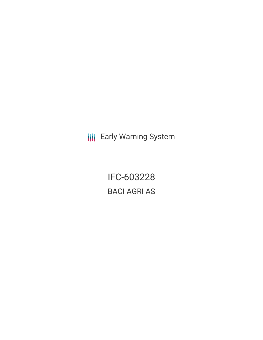**III** Early Warning System

IFC-603228 BACI AGRI AS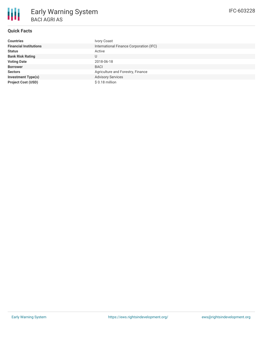

## **Quick Facts**

| <b>Countries</b>              | <b>Ivory Coast</b>                      |
|-------------------------------|-----------------------------------------|
| <b>Financial Institutions</b> | International Finance Corporation (IFC) |
| <b>Status</b>                 | Active                                  |
| <b>Bank Risk Rating</b>       | U                                       |
| <b>Voting Date</b>            | 2018-06-18                              |
| <b>Borrower</b>               | <b>BACI</b>                             |
| <b>Sectors</b>                | Agriculture and Forestry, Finance       |
| <b>Investment Type(s)</b>     | <b>Advisory Services</b>                |
| <b>Project Cost (USD)</b>     | \$0.18 million                          |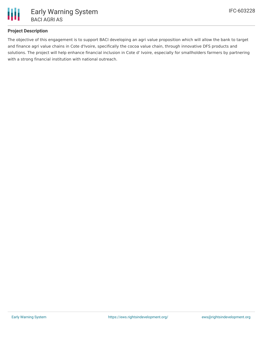

### **Project Description**

The objective of this engagement is to support BACI developing an agri value proposition which will allow the bank to target and finance agri value chains in Cote d'Ivoire, specifically the cocoa value chain, through innovative DFS products and solutions. The project will help enhance financial inclusion in Cote d' Ivoire, especially for smallholders farmers by partnering with a strong financial institution with national outreach.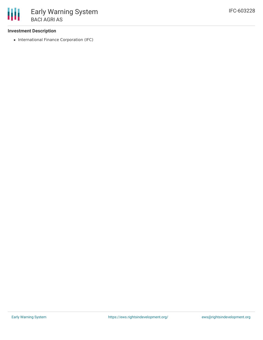### **Investment Description**

• International Finance Corporation (IFC)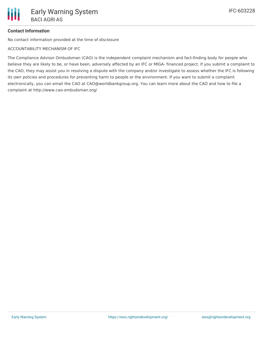# **Contact Information**

No contact information provided at the time of disclosure

ACCOUNTABILITY MECHANISM OF IFC

The Compliance Advisor Ombudsman (CAO) is the independent complaint mechanism and fact-finding body for people who believe they are likely to be, or have been, adversely affected by an IFC or MIGA- financed project. If you submit a complaint to the CAO, they may assist you in resolving a dispute with the company and/or investigate to assess whether the IFC is following its own policies and procedures for preventing harm to people or the environment. If you want to submit a complaint electronically, you can email the CAO at CAO@worldbankgroup.org. You can learn more about the CAO and how to file a complaint at http://www.cao-ombudsman.org/